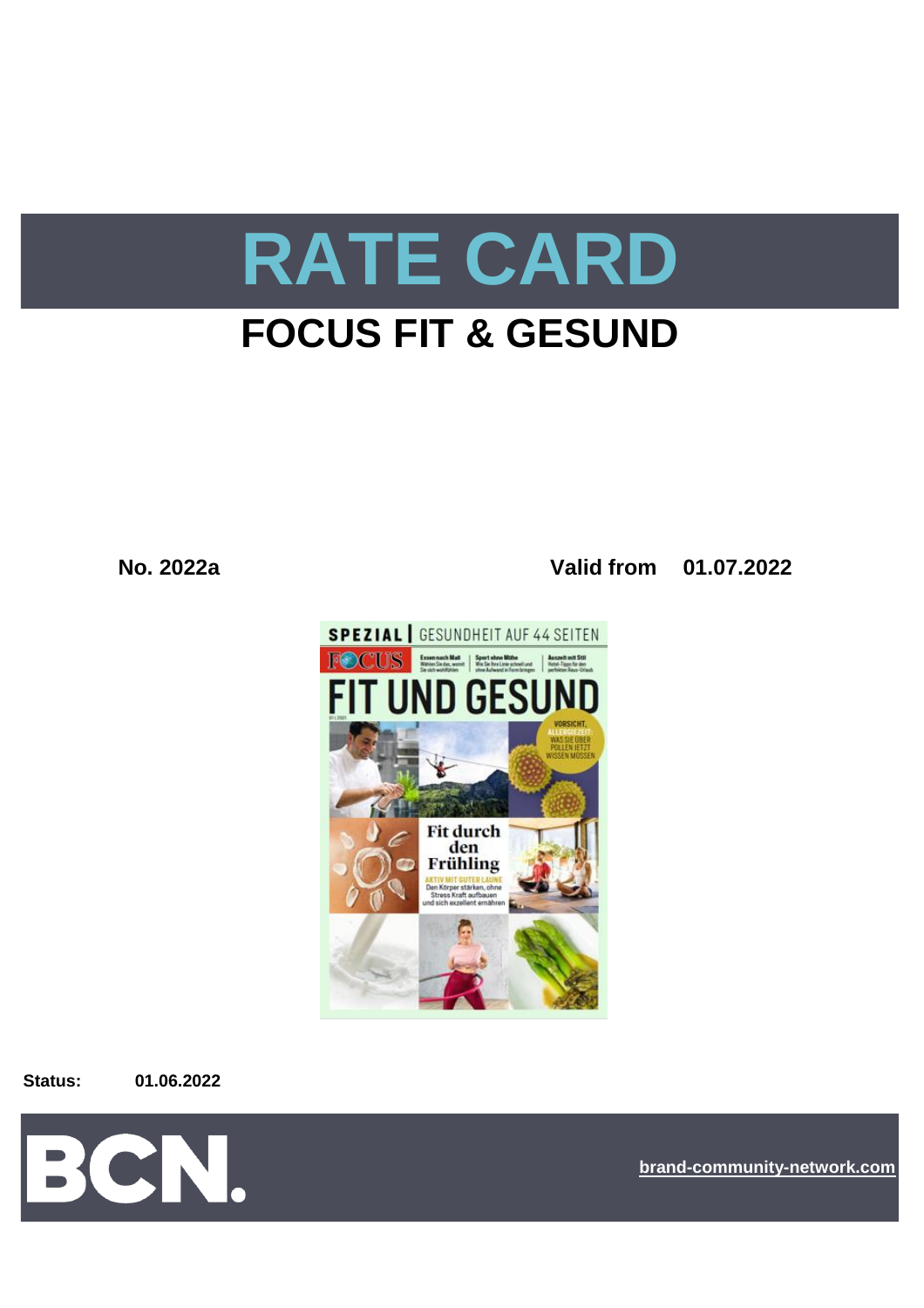

# **FOCUS FIT & GESUND**

**No. 2022a Valid from 01.07.2022**



**Status: 01.06.2022**



**[bra](https://bcn.burda.com/)nd-community-network.com**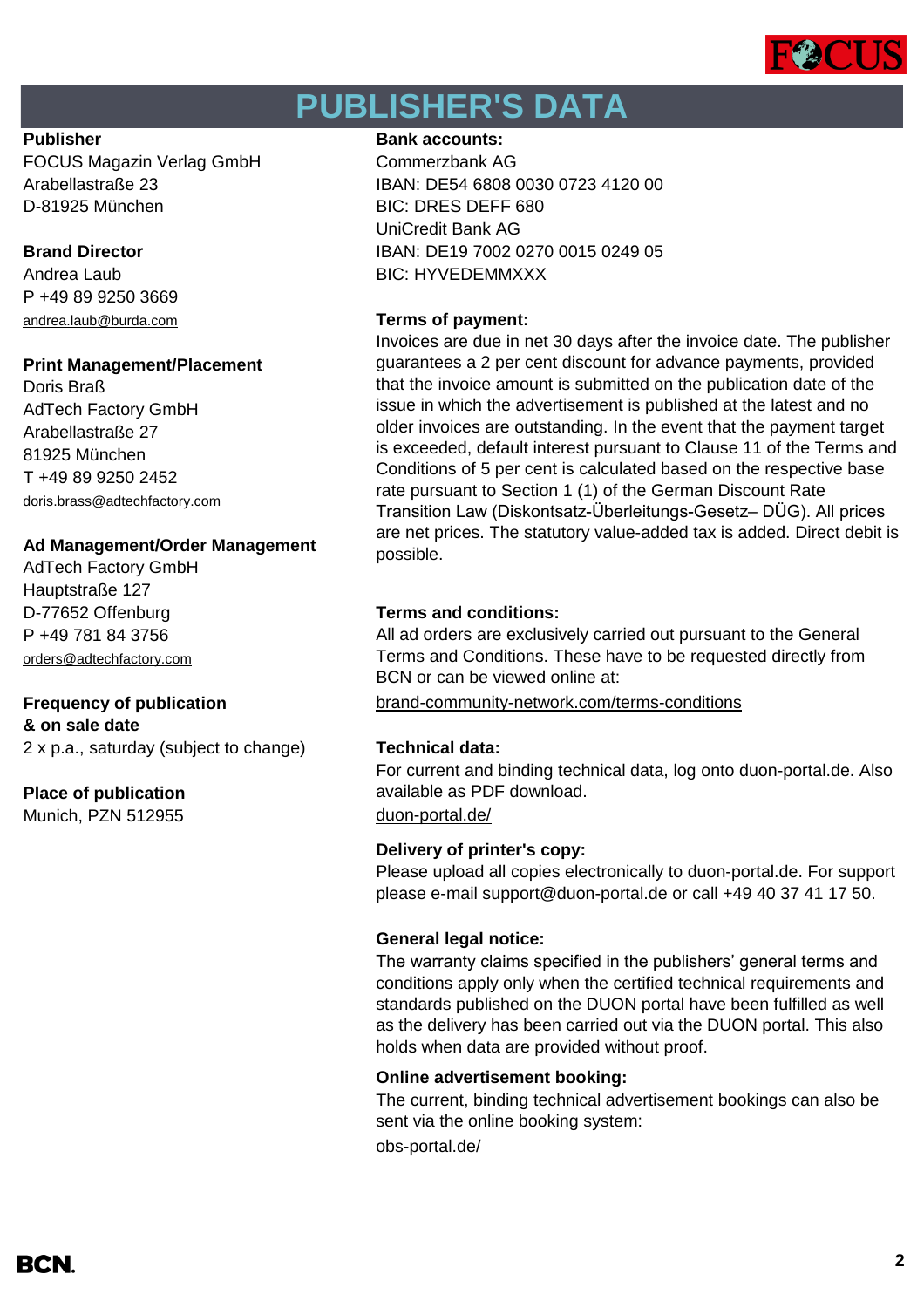

# **PUBLISHER'S DATA**

FOCUS Magazin Verlag GmbH Commerzbank AG D-81925 München BIC: DRES DEFF 680

P +49 89 9250 3669 [andrea.laub@burda.com](mailto:andrea.laub@burda.com) **Terms of payment:**

### **Print Management/Placement**

Doris Braß AdTech Factory GmbH Arabellastraße 27 81925 München T +49 89 9250 2452 [doris.brass@adtechfactory.com](mailto:doris.brass@adtechfactory.com)

### **Ad Management/Order Management**

AdTech Factory GmbH Hauptstraße 127 D-77652 Offenburg **Terms and conditions:** P +49 781 84 3756 [orders@adtechfactory.com](mailto:orders@adtechfactory.com)

**& on sale date** 2 x p.a., saturday (subject to change) **Technical data:**

### **Place of publication**

Munich, PZN 512955 [duon-portal.de/](https://duon-portal.de/)

### **Publisher Bank accounts: Bank accounts:**

Arabellastraße 23 IBAN: DE54 6808 0030 0723 4120 00 UniCredit Bank AG **Brand Director IBAN: DE19 7002 0270 0015 0249 05** Andrea Laub BIC: HYVEDEMMXXX

Invoices are due in net 30 days after the invoice date. The publisher guarantees a 2 per cent discount for advance payments, provided that the invoice amount is submitted on the publication date of the issue in which the advertisement is published at the latest and no older invoices are outstanding. In the event that the payment target is exceeded, default interest pursuant to Clause 11 of the Terms and Conditions of 5 per cent is calculated based on the respective base rate pursuant to Section 1 (1) of the German Discount Rate Transition Law (Diskontsatz-Überleitungs-Gesetz– DÜG). All prices are net prices. The statutory value-added tax is added. Direct debit is possible.

All ad orders are exclusively carried out pursuant to the General Terms and Conditions. These have to be requested directly from BCN or can be viewed online at:

**Frequency of publication** [brand-community-network.com/terms-conditions](https://bcn.burda.com/terms-conditions)

For current and binding technical data, log onto duon-portal.de. Also available as PDF download.

### **Delivery of printer's copy:**

Please upload all copies electronically to duon-portal.de. For support please e-mail support@duon-portal.de or call +49 40 37 41 17 50.

### **General legal notice:**

The warranty claims specified in the publishers' general terms and conditions apply only when the certified technical requirements and standards published on the DUON portal have been fulfilled as well as the delivery has been carried out via the DUON portal. This also holds when data are provided without proof.

### **Online advertisement booking:**

The current, binding technical advertisement bookings can also be sent via the online booking system:

[obs-portal.de/](https://www.obs-portal.de/)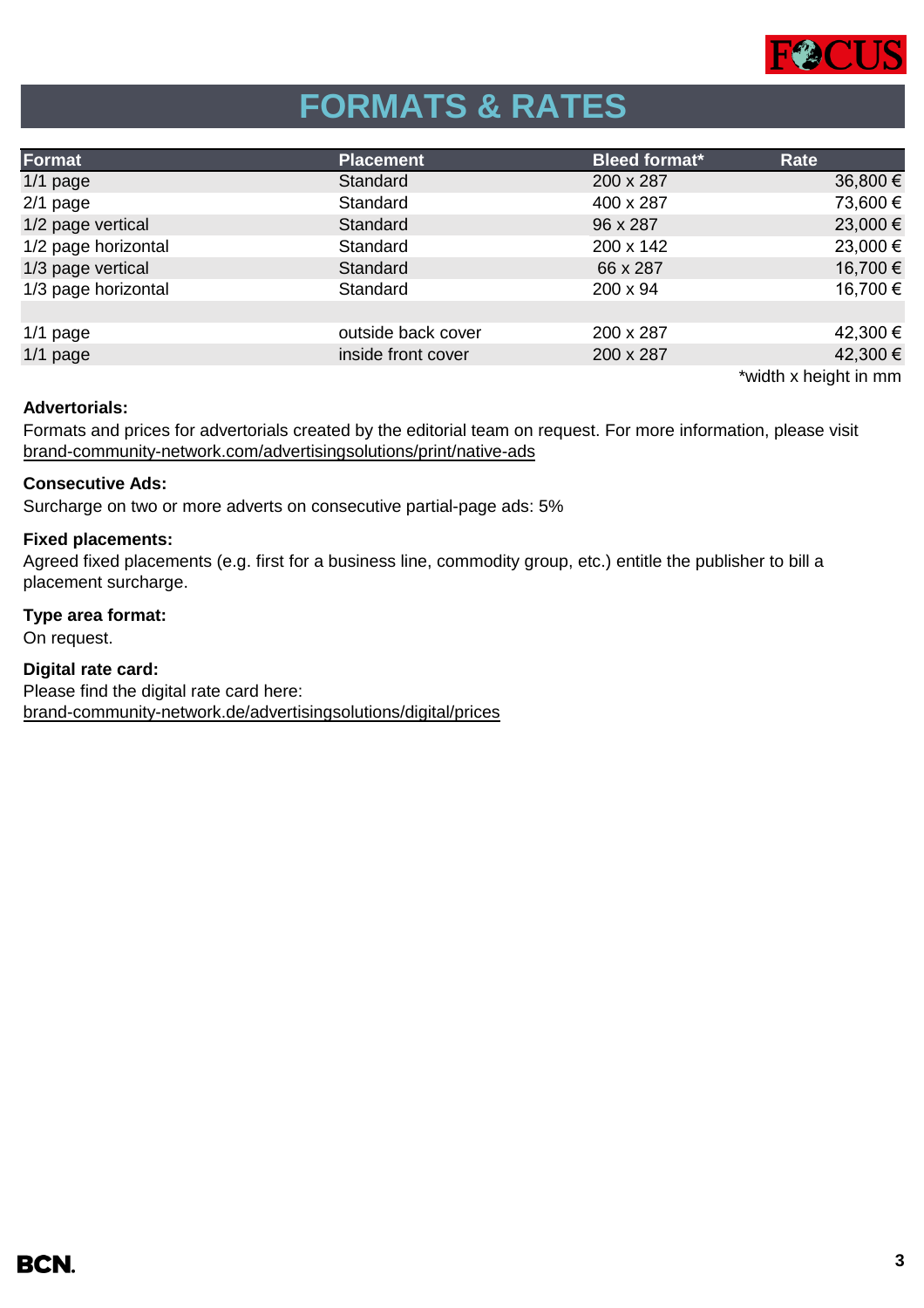

# **FORMATS & RATES**

| Format              | <b>Placement</b>   | <b>Bleed format*</b> | Rate                  |
|---------------------|--------------------|----------------------|-----------------------|
| $1/1$ page          | Standard           | 200 x 287            | 36,800 €              |
| $2/1$ page          | Standard           | 400 x 287            | 73,600 €              |
| 1/2 page vertical   | Standard           | 96 x 287             | 23,000 €              |
| 1/2 page horizontal | Standard           | 200 x 142            | 23,000 €              |
| 1/3 page vertical   | Standard           | 66 x 287             | 16,700 €              |
| 1/3 page horizontal | Standard           | 200 x 94             | 16,700 €              |
|                     |                    |                      |                       |
| $1/1$ page          | outside back cover | 200 x 287            | 42,300 €              |
| $1/1$ page          | inside front cover | 200 x 287            | 42,300 €              |
|                     |                    |                      | *width x height in mm |

### **Advertorials:**

[brand-community-network.com/advertisin](https://bcn.burda.com/advertisingsolutions/print/native-ads)gsolutions/print/native-ads Formats and prices for advertorials created by the editorial team on request. For more information, please visit

### **Consecutive Ads:**

Surcharge on two or more adverts on consecutive partial-page ads: 5%

### **Fixed placements:**

Agreed fixed placements (e.g. first for a business line, commodity group, etc.) entitle the publisher to bill a placement surcharge.

### **Type area format:**

On request.

### **Digital rate card:**

Please find the digital rate card here: [brand-community-network.de/advertisingsolutions/digital/prices](https://bcn.burda.com/advertisingsolutions/digital/prices)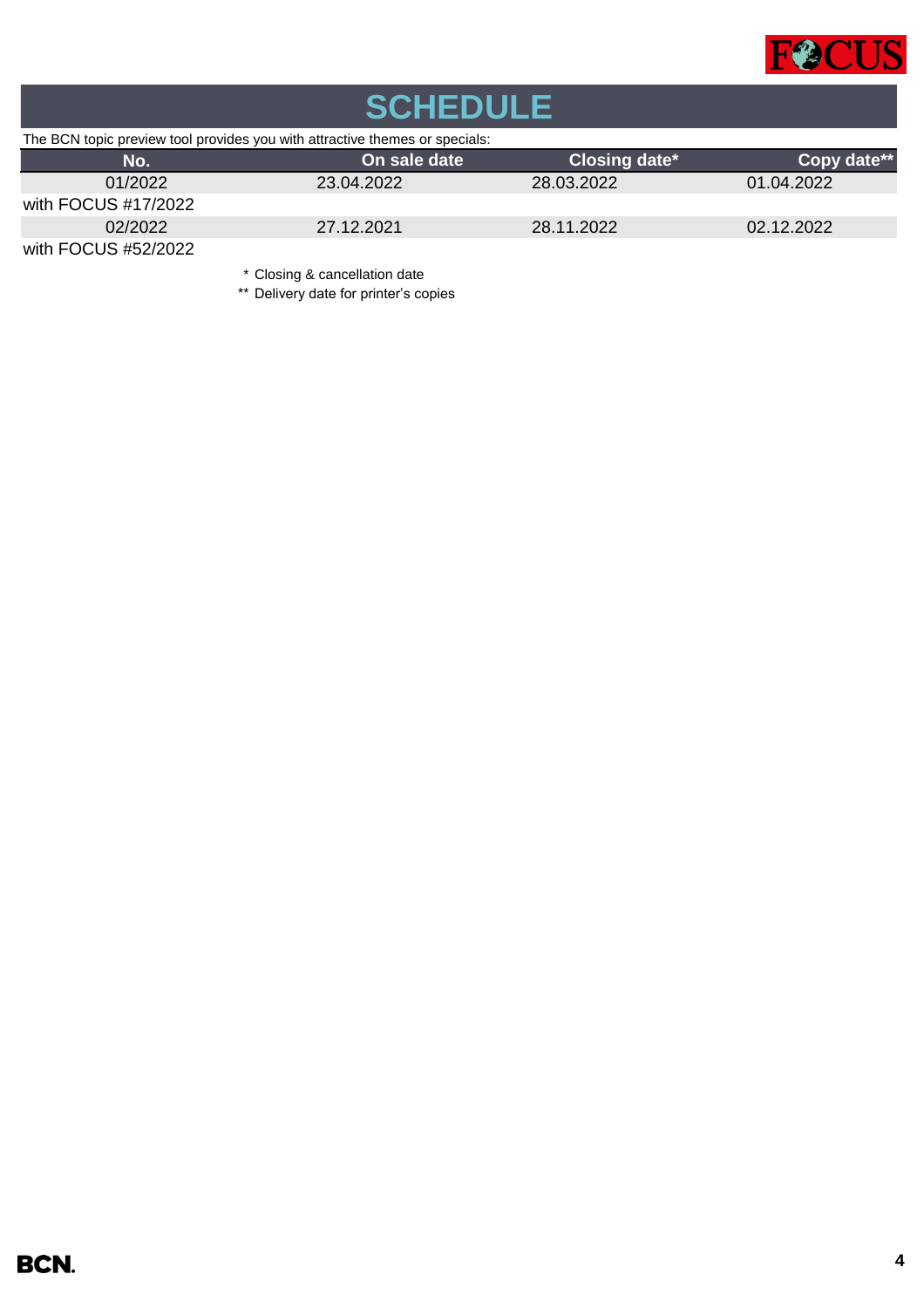

| <b>SCHEDULE</b>                                                             |                               |               |             |  |  |
|-----------------------------------------------------------------------------|-------------------------------|---------------|-------------|--|--|
| The BCN topic preview tool provides you with attractive themes or specials: |                               |               |             |  |  |
| No.                                                                         | On sale date                  | Closing date* | Copy date** |  |  |
| 01/2022                                                                     | 23.04.2022                    | 28.03.2022    | 01.04.2022  |  |  |
| with FOCUS #17/2022                                                         |                               |               |             |  |  |
| 02/2022                                                                     | 27.12.2021                    | 28.11.2022    | 02.12.2022  |  |  |
| with FOCUS #52/2022                                                         |                               |               |             |  |  |
|                                                                             | * Closing & cancellation date |               |             |  |  |

\*\* Delivery date for printer's copies